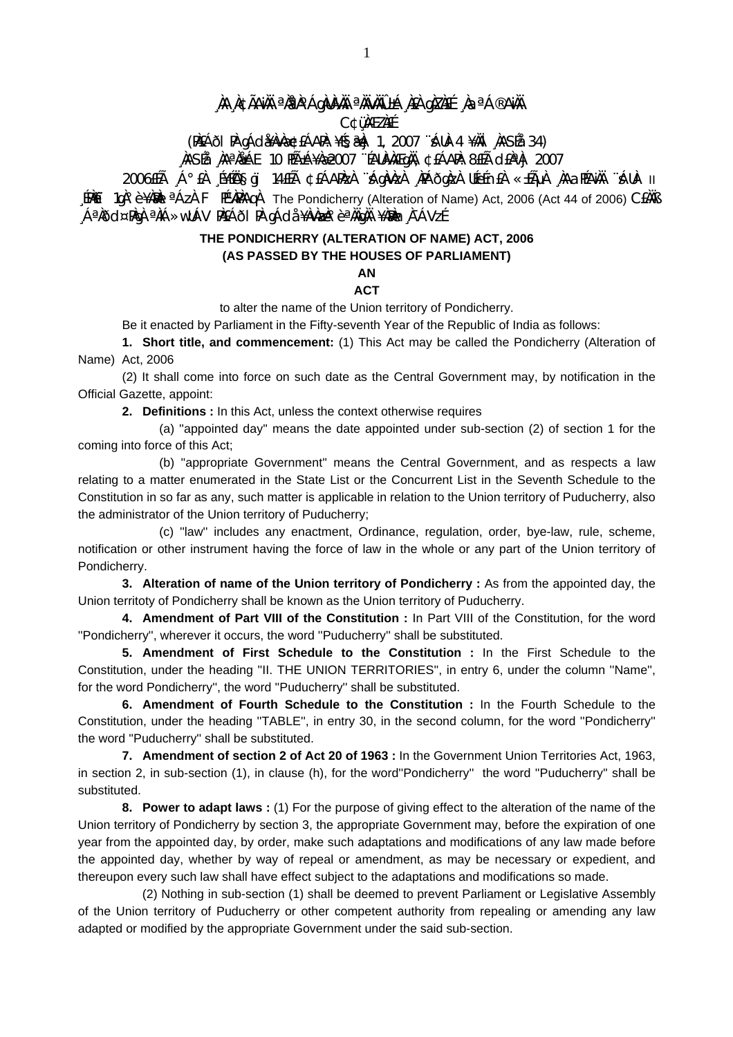A ACÃAN <sup>a</sup>rpoághina anvaileá ra grefé ag<sup>ac</sup>an a **C¢üMEZNEE** 

(PAEÁÕI PA gÁda Ava=CÉÁAPA: ¥ÉS&Aj 1, 2007 "ÁUA-4 ¥AI AASÉa 34)

NASÍA NA NA ALA 10 HÁ±Á¥Næ2007 "ÉAUNAÆgNA, ¢£ÁARA: 8£ÉA cI£N A 2007

11 -AUA "AAJAGAA" ALAJAB ASADE KADAN, ASANADA AJALA JALA 1102AJJA ALA AJADOOS [PACI 1gA° è ¥AMAI <sup>a</sup> AzA F PEWAPAA The Pondicherry (Alteration of Name) Act, 2006 (Act 44 of 2006) CEAAB ĴSVÀ 1, m**ísl** 4 Ana 10 ana 10 Ana 10 an 10 Ana 10 Ana Ana Ana 10 Ana A

## THE PONDICHERRY (ALTERATION OF NAME) ACT, 2006 (AS PASSED BY THE HOUSES OF PARLIAMENT)

## **AN ACT**

to alter the name of the Union territory of Pondicherry.

Be it enacted by Parliament in the Fifty-seventh Year of the Republic of India as follows:

1. Short title, and commencement: (1) This Act may be called the Pondicherry (Alteration of Name) Act. 2006

(2) It shall come into force on such date as the Central Government may, by notification in the Official Gazette, appoint:

2. Definitions : In this Act, unless the context otherwise requires

(a) "appointed day" means the date appointed under sub-section (2) of section 1 for the coming into force of this Act;

(b) "appropriate Government" means the Central Government, and as respects a law relating to a matter enumerated in the State List or the Concurrent List in the Seventh Schedule to the Constitution in so far as any, such matter is applicable in relation to the Union territory of Puducherry, also the administrator of the Union territory of Puducherry;

(c) "law" includes any enactment, Ordinance, regulation, order, bye-law, rule, scheme, notification or other instrument having the force of law in the whole or any part of the Union territory of Pondicherry.

3. Alteration of name of the Union territory of Pondicherry : As from the appointed day, the Union territoty of Pondicherry shall be known as the Union territory of Puducherry.

4. Amendment of Part VIII of the Constitution : In Part VIII of the Constitution, for the word "Pondicherry", wherever it occurs, the word "Puducherry" shall be substituted.

5. Amendment of First Schedule to the Constitution : In the First Schedule to the Constitution, under the heading "II. THE UNION TERRITORIES", in entry 6, under the column "Name", for the word Pondicherry", the word "Puducherry" shall be substituted.

6. Amendment of Fourth Schedule to the Constitution : In the Fourth Schedule to the Constitution, under the heading "TABLE", in entry 30, in the second column, for the word "Pondicherry" the word "Puducherry" shall be substituted.

7. Amendment of section 2 of Act 20 of 1963 : In the Government Union Territories Act. 1963. in section 2, in sub-section (1), in clause (h), for the word"Pondicherry" the word "Puducherry" shall be substituted.

8. Power to adapt laws: (1) For the purpose of giving effect to the alteration of the name of the Union territory of Pondicherry by section 3, the appropriate Government may, before the expiration of one year from the appointed day, by order, make such adaptations and modifications of any law made before the appointed day, whether by way of repeal or amendment, as may be necessary or expedient, and thereupon every such law shall have effect subject to the adaptations and modifications so made.

(2) Nothing in sub-section (1) shall be deemed to prevent Parliament or Legislative Assembly of the Union territory of Puducherry or other competent authority from repealing or amending any law adapted or modified by the appropriate Government under the said sub-section.